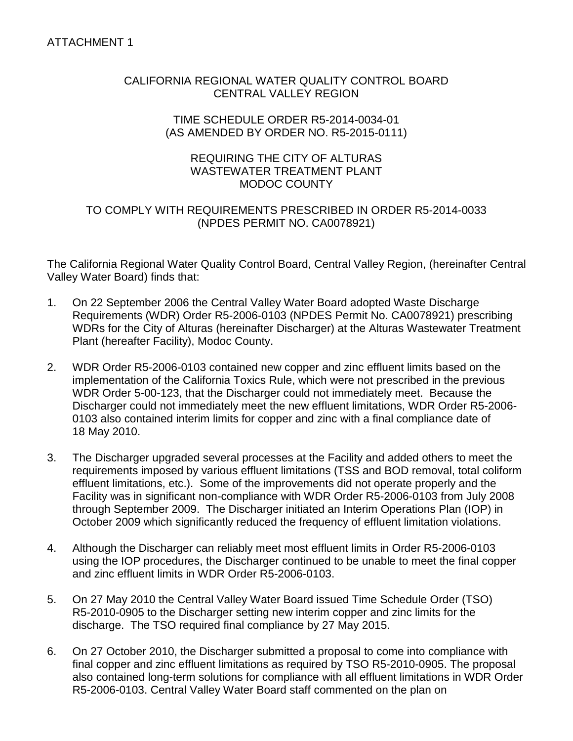## CALIFORNIA REGIONAL WATER QUALITY CONTROL BOARD CENTRAL VALLEY REGION

### TIME SCHEDULE ORDER R5-2014-0034-01 (AS AMENDED BY ORDER NO. R5-2015-0111)

# REQUIRING THE CITY OF ALTURAS WASTEWATER TREATMENT PLANT MODOC COUNTY

# TO COMPLY WITH REQUIREMENTS PRESCRIBED IN ORDER R5-2014-0033 (NPDES PERMIT NO. CA0078921)

The California Regional Water Quality Control Board, Central Valley Region, (hereinafter Central Valley Water Board) finds that:

- 1. On 22 September 2006 the Central Valley Water Board adopted Waste Discharge Requirements (WDR) Order R5-2006-0103 (NPDES Permit No. CA0078921) prescribing WDRs for the City of Alturas (hereinafter Discharger) at the Alturas Wastewater Treatment Plant (hereafter Facility), Modoc County.
- 2. WDR Order R5-2006-0103 contained new copper and zinc effluent limits based on the implementation of the California Toxics Rule, which were not prescribed in the previous WDR Order 5-00-123, that the Discharger could not immediately meet. Because the Discharger could not immediately meet the new effluent limitations, WDR Order R5-2006- 0103 also contained interim limits for copper and zinc with a final compliance date of 18 May 2010.
- 3. The Discharger upgraded several processes at the Facility and added others to meet the requirements imposed by various effluent limitations (TSS and BOD removal, total coliform effluent limitations, etc.). Some of the improvements did not operate properly and the Facility was in significant non-compliance with WDR Order R5-2006-0103 from July 2008 through September 2009. The Discharger initiated an Interim Operations Plan (IOP) in October 2009 which significantly reduced the frequency of effluent limitation violations.
- 4. Although the Discharger can reliably meet most effluent limits in Order R5-2006-0103 using the IOP procedures, the Discharger continued to be unable to meet the final copper and zinc effluent limits in WDR Order R5-2006-0103.
- 5. On 27 May 2010 the Central Valley Water Board issued Time Schedule Order (TSO) R5-2010-0905 to the Discharger setting new interim copper and zinc limits for the discharge. The TSO required final compliance by 27 May 2015.
- 6. On 27 October 2010, the Discharger submitted a proposal to come into compliance with final copper and zinc effluent limitations as required by TSO R5-2010-0905. The proposal also contained long-term solutions for compliance with all effluent limitations in WDR Order R5-2006-0103. Central Valley Water Board staff commented on the plan on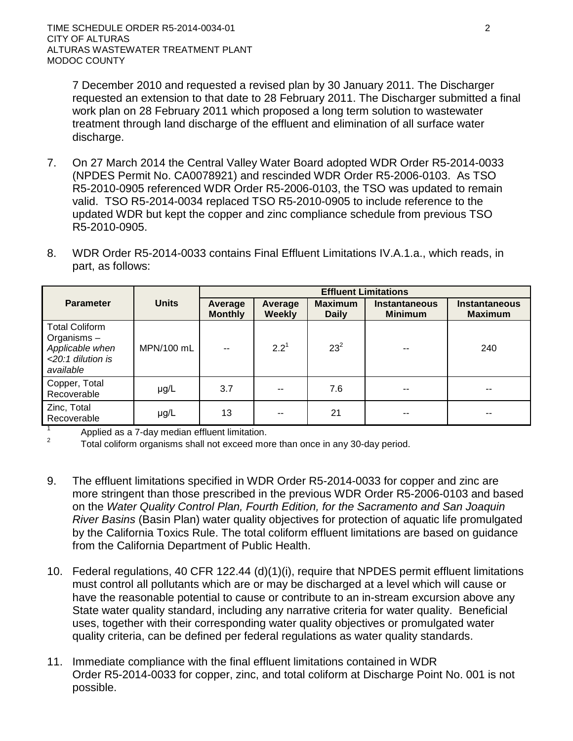7 December 2010 and requested a revised plan by 30 January 2011. The Discharger requested an extension to that date to 28 February 2011. The Discharger submitted a final work plan on 28 February 2011 which proposed a long term solution to wastewater treatment through land discharge of the effluent and elimination of all surface water discharge.

- 7. On 27 March 2014 the Central Valley Water Board adopted WDR Order R5-2014-0033 (NPDES Permit No. CA0078921) and rescinded WDR Order R5-2006-0103. As TSO R5-2010-0905 referenced WDR Order R5-2006-0103, the TSO was updated to remain valid. TSO R5-2014-0034 replaced TSO R5-2010-0905 to include reference to the updated WDR but kept the copper and zinc compliance schedule from previous TSO R5-2010-0905.
- 8. WDR Order R5-2014-0033 contains Final Effluent Limitations IV.A.1.a., which reads, in part, as follows:

|                                                                                             |              | <b>Effluent Limitations</b> |                          |                                |                                        |                                        |  |
|---------------------------------------------------------------------------------------------|--------------|-----------------------------|--------------------------|--------------------------------|----------------------------------------|----------------------------------------|--|
| <b>Parameter</b>                                                                            | <b>Units</b> | Average<br><b>Monthly</b>   | Average<br><b>Weekly</b> | <b>Maximum</b><br><b>Daily</b> | <b>Instantaneous</b><br><b>Minimum</b> | <b>Instantaneous</b><br><b>Maximum</b> |  |
| <b>Total Coliform</b><br>Organisms $-$<br>Applicable when<br><20:1 dilution is<br>available | MPN/100 mL   | --                          | $2.2^1$                  | $23^{2}$                       |                                        | 240                                    |  |
| Copper, Total<br>Recoverable                                                                | µg/L         | 3.7                         | $-$                      | 7.6                            |                                        | $- -$                                  |  |
| Zinc, Total<br>Recoverable                                                                  | $\mu$ g/L    | 13                          | --                       | 21                             | --                                     | --                                     |  |

<sup>1</sup> Applied as a 7-day median effluent limitation.

<sup>2</sup> Total coliform organisms shall not exceed more than once in any 30-day period.

- 9. The effluent limitations specified in WDR Order R5-2014-0033 for copper and zinc are more stringent than those prescribed in the previous WDR Order R5-2006-0103 and based on the *Water Quality Control Plan, Fourth Edition, for the Sacramento and San Joaquin River Basins* (Basin Plan) water quality objectives for protection of aquatic life promulgated by the California Toxics Rule. The total coliform effluent limitations are based on guidance from the California Department of Public Health.
- 10. Federal regulations, 40 CFR 122.44 (d)(1)(i), require that NPDES permit effluent limitations must control all pollutants which are or may be discharged at a level which will cause or have the reasonable potential to cause or contribute to an in-stream excursion above any State water quality standard, including any narrative criteria for water quality. Beneficial uses, together with their corresponding water quality objectives or promulgated water quality criteria, can be defined per federal regulations as water quality standards.
- 11. Immediate compliance with the final effluent limitations contained in WDR Order R5-2014-0033 for copper, zinc, and total coliform at Discharge Point No. 001 is not possible.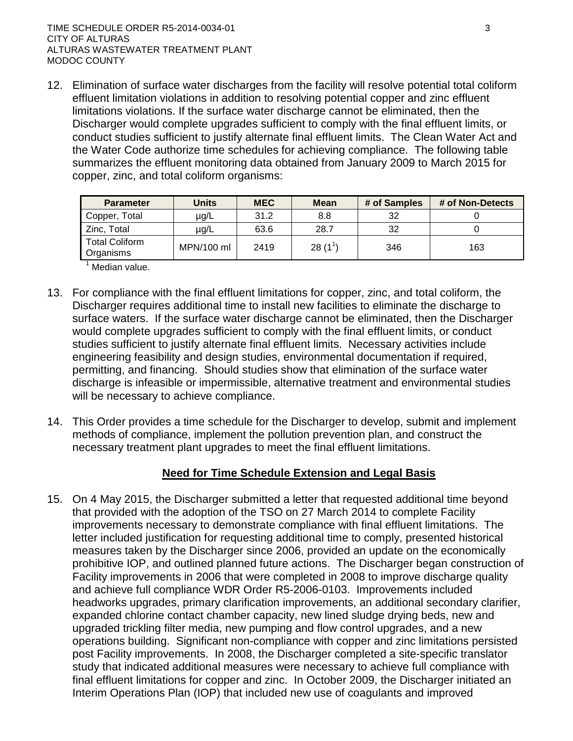12. Elimination of surface water discharges from the facility will resolve potential total coliform effluent limitation violations in addition to resolving potential copper and zinc effluent limitations violations. If the surface water discharge cannot be eliminated, then the Discharger would complete upgrades sufficient to comply with the final effluent limits, or conduct studies sufficient to justify alternate final effluent limits. The Clean Water Act and the Water Code authorize time schedules for achieving compliance. The following table summarizes the effluent monitoring data obtained from January 2009 to March 2015 for copper, zinc, and total coliform organisms:

| <b>Parameter</b>                   | <b>Units</b> | <b>MEC</b> | <b>Mean</b> | # of Samples | # of Non-Detects |
|------------------------------------|--------------|------------|-------------|--------------|------------------|
| Copper, Total                      | µg/L         | 31.2       | 8.8         | 32           |                  |
| Zinc, Total                        | µg/L         | 63.6       | 28.7        | 32           |                  |
| <b>Total Coliform</b><br>Organisms | MPN/100 ml   | 2419       | 28(1)       | 346          | 163              |

 $<sup>1</sup>$  Median value.</sup>

- 13. For compliance with the final effluent limitations for copper, zinc, and total coliform, the Discharger requires additional time to install new facilities to eliminate the discharge to surface waters. If the surface water discharge cannot be eliminated, then the Discharger would complete upgrades sufficient to comply with the final effluent limits, or conduct studies sufficient to justify alternate final effluent limits. Necessary activities include engineering feasibility and design studies, environmental documentation if required, permitting, and financing. Should studies show that elimination of the surface water discharge is infeasible or impermissible, alternative treatment and environmental studies will be necessary to achieve compliance.
- 14. This Order provides a time schedule for the Discharger to develop, submit and implement methods of compliance, implement the pollution prevention plan, and construct the necessary treatment plant upgrades to meet the final effluent limitations.

# **Need for Time Schedule Extension and Legal Basis**

15. On 4 May 2015, the Discharger submitted a letter that requested additional time beyond that provided with the adoption of the TSO on 27 March 2014 to complete Facility improvements necessary to demonstrate compliance with final effluent limitations. The letter included justification for requesting additional time to comply, presented historical measures taken by the Discharger since 2006, provided an update on the economically prohibitive IOP, and outlined planned future actions. The Discharger began construction of Facility improvements in 2006 that were completed in 2008 to improve discharge quality and achieve full compliance WDR Order R5-2006-0103. Improvements included headworks upgrades, primary clarification improvements, an additional secondary clarifier, expanded chlorine contact chamber capacity, new lined sludge drying beds, new and upgraded trickling filter media, new pumping and flow control upgrades, and a new operations building. Significant non-compliance with copper and zinc limitations persisted post Facility improvements. In 2008, the Discharger completed a site-specific translator study that indicated additional measures were necessary to achieve full compliance with final effluent limitations for copper and zinc. In October 2009, the Discharger initiated an Interim Operations Plan (IOP) that included new use of coagulants and improved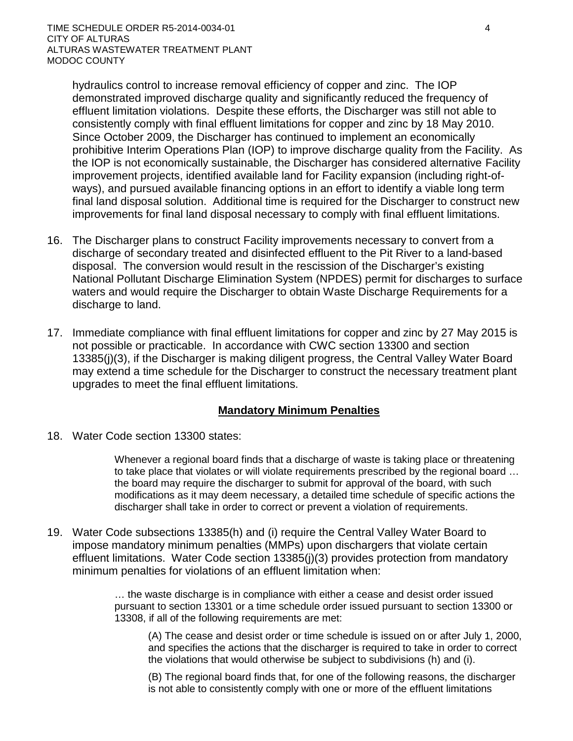hydraulics control to increase removal efficiency of copper and zinc. The IOP demonstrated improved discharge quality and significantly reduced the frequency of effluent limitation violations. Despite these efforts, the Discharger was still not able to consistently comply with final effluent limitations for copper and zinc by 18 May 2010. Since October 2009, the Discharger has continued to implement an economically prohibitive Interim Operations Plan (IOP) to improve discharge quality from the Facility. As the IOP is not economically sustainable, the Discharger has considered alternative Facility improvement projects, identified available land for Facility expansion (including right-ofways), and pursued available financing options in an effort to identify a viable long term final land disposal solution. Additional time is required for the Discharger to construct new improvements for final land disposal necessary to comply with final effluent limitations.

- 16. The Discharger plans to construct Facility improvements necessary to convert from a discharge of secondary treated and disinfected effluent to the Pit River to a land-based disposal. The conversion would result in the rescission of the Discharger's existing National Pollutant Discharge Elimination System (NPDES) permit for discharges to surface waters and would require the Discharger to obtain Waste Discharge Requirements for a discharge to land.
- 17. Immediate compliance with final effluent limitations for copper and zinc by 27 May 2015 is not possible or practicable. In accordance with CWC section 13300 and section 13385(j)(3), if the Discharger is making diligent progress, the Central Valley Water Board may extend a time schedule for the Discharger to construct the necessary treatment plant upgrades to meet the final effluent limitations.

#### **Mandatory Minimum Penalties**

18. Water Code section 13300 states:

Whenever a regional board finds that a discharge of waste is taking place or threatening to take place that violates or will violate requirements prescribed by the regional board … the board may require the discharger to submit for approval of the board, with such modifications as it may deem necessary, a detailed time schedule of specific actions the discharger shall take in order to correct or prevent a violation of requirements.

19. Water Code subsections 13385(h) and (i) require the Central Valley Water Board to impose mandatory minimum penalties (MMPs) upon dischargers that violate certain effluent limitations. Water Code section 13385(j)(3) provides protection from mandatory minimum penalties for violations of an effluent limitation when:

> … the waste discharge is in compliance with either a cease and desist order issued pursuant to section 13301 or a time schedule order issued pursuant to section 13300 or 13308, if all of the following requirements are met:

(A) The cease and desist order or time schedule is issued on or after July 1, 2000, and specifies the actions that the discharger is required to take in order to correct the violations that would otherwise be subject to subdivisions (h) and (i).

(B) The regional board finds that, for one of the following reasons, the discharger is not able to consistently comply with one or more of the effluent limitations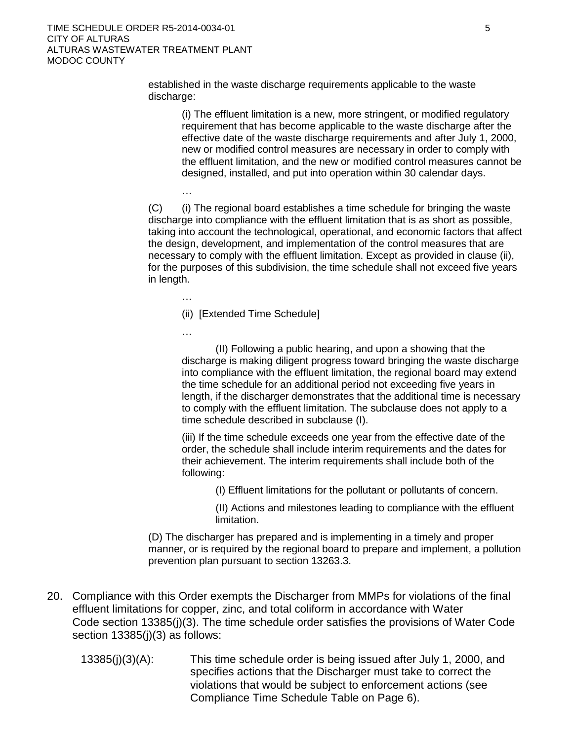TIME SCHEDULE ORDER R5-2014-0034-01 5 CITY OF ALTURAS ALTURAS WASTEWATER TREATMENT PLANT MODOC COUNTY

> established in the waste discharge requirements applicable to the waste discharge:

(i) The effluent limitation is a new, more stringent, or modified regulatory requirement that has become applicable to the waste discharge after the effective date of the waste discharge requirements and after July 1, 2000, new or modified control measures are necessary in order to comply with the effluent limitation, and the new or modified control measures cannot be designed, installed, and put into operation within 30 calendar days.

(C) (i) The regional board establishes a time schedule for bringing the waste discharge into compliance with the effluent limitation that is as short as possible, taking into account the technological, operational, and economic factors that affect the design, development, and implementation of the control measures that are necessary to comply with the effluent limitation. Except as provided in clause (ii), for the purposes of this subdivision, the time schedule shall not exceed five years in length.

(ii) [Extended Time Schedule]

…

…

…

(II) Following a public hearing, and upon a showing that the discharge is making diligent progress toward bringing the waste discharge into compliance with the effluent limitation, the regional board may extend the time schedule for an additional period not exceeding five years in length, if the discharger demonstrates that the additional time is necessary to comply with the effluent limitation. The subclause does not apply to a time schedule described in subclause (I).

(iii) If the time schedule exceeds one year from the effective date of the order, the schedule shall include interim requirements and the dates for their achievement. The interim requirements shall include both of the following:

(I) Effluent limitations for the pollutant or pollutants of concern.

(II) Actions and milestones leading to compliance with the effluent limitation.

(D) The discharger has prepared and is implementing in a timely and proper manner, or is required by the regional board to prepare and implement, a pollution prevention plan pursuant to section 13263.3.

- 20. Compliance with this Order exempts the Discharger from MMPs for violations of the final effluent limitations for copper, zinc, and total coliform in accordance with Water Code section 13385(j)(3). The time schedule order satisfies the provisions of Water Code section 13385(j)(3) as follows:
	- 13385(j)(3)(A): This time schedule order is being issued after July 1, 2000, and specifies actions that the Discharger must take to correct the violations that would be subject to enforcement actions (see Compliance Time Schedule Table on Page 6).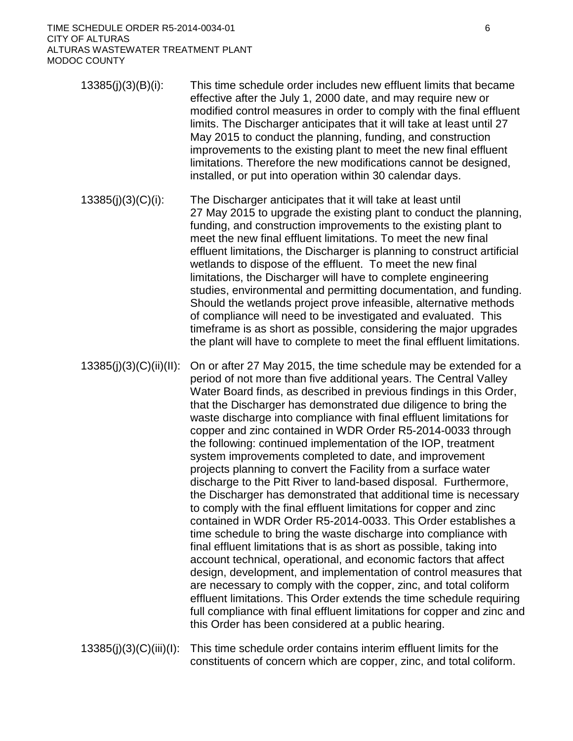TIME SCHEDULE ORDER R5-2014-0034-01 6 CITY OF ALTURAS ALTURAS WASTEWATER TREATMENT PLANT MODOC COUNTY

- 13385(j)(3)(B)(i): This time schedule order includes new effluent limits that became effective after the July 1, 2000 date, and may require new or modified control measures in order to comply with the final effluent limits. The Discharger anticipates that it will take at least until 27 May 2015 to conduct the planning, funding, and construction improvements to the existing plant to meet the new final effluent limitations. Therefore the new modifications cannot be designed, installed, or put into operation within 30 calendar days.
- 13385(j)(3)(C)(i): The Discharger anticipates that it will take at least until 27 May 2015 to upgrade the existing plant to conduct the planning, funding, and construction improvements to the existing plant to meet the new final effluent limitations. To meet the new final effluent limitations, the Discharger is planning to construct artificial wetlands to dispose of the effluent. To meet the new final limitations, the Discharger will have to complete engineering studies, environmental and permitting documentation, and funding. Should the wetlands project prove infeasible, alternative methods of compliance will need to be investigated and evaluated. This timeframe is as short as possible, considering the major upgrades the plant will have to complete to meet the final effluent limitations.
- 13385(j)(3)(C)(ii)(II): On or after 27 May 2015, the time schedule may be extended for a period of not more than five additional years. The Central Valley Water Board finds, as described in previous findings in this Order, that the Discharger has demonstrated due diligence to bring the waste discharge into compliance with final effluent limitations for copper and zinc contained in WDR Order R5-2014-0033 through the following: continued implementation of the IOP, treatment system improvements completed to date, and improvement projects planning to convert the Facility from a surface water discharge to the Pitt River to land-based disposal. Furthermore, the Discharger has demonstrated that additional time is necessary to comply with the final effluent limitations for copper and zinc contained in WDR Order R5-2014-0033. This Order establishes a time schedule to bring the waste discharge into compliance with final effluent limitations that is as short as possible, taking into account technical, operational, and economic factors that affect design, development, and implementation of control measures that are necessary to comply with the copper, zinc, and total coliform effluent limitations. This Order extends the time schedule requiring full compliance with final effluent limitations for copper and zinc and this Order has been considered at a public hearing.
- 13385(j)(3)(C)(iii)(I): This time schedule order contains interim effluent limits for the constituents of concern which are copper, zinc, and total coliform.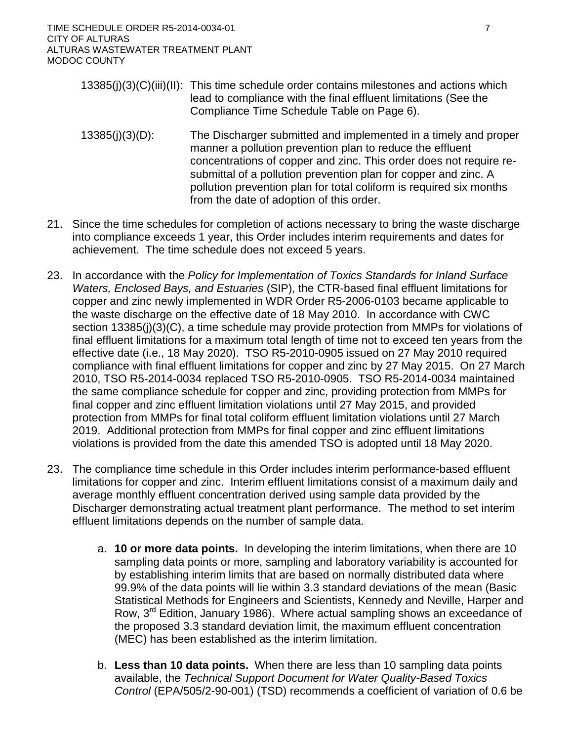TIME SCHEDULE ORDER R5-2014-0034-01 7 CITY OF ALTURAS ALTURAS WASTEWATER TREATMENT PLANT MODOC COUNTY

- 13385(j)(3)(C)(iii)(II): This time schedule order contains milestones and actions which lead to compliance with the final effluent limitations (See the Compliance Time Schedule Table on Page 6).
- 13385(j)(3)(D): The Discharger submitted and implemented in a timely and proper manner a pollution prevention plan to reduce the effluent concentrations of copper and zinc. This order does not require resubmittal of a pollution prevention plan for copper and zinc. A pollution prevention plan for total coliform is required six months from the date of adoption of this order.
- 21. Since the time schedules for completion of actions necessary to bring the waste discharge into compliance exceeds 1 year, this Order includes interim requirements and dates for achievement. The time schedule does not exceed 5 years.
- 23. In accordance with the *Policy for Implementation of Toxics Standards for Inland Surface Waters, Enclosed Bays, and Estuaries* (SIP), the CTR-based final effluent limitations for copper and zinc newly implemented in WDR Order R5-2006-0103 became applicable to the waste discharge on the effective date of 18 May 2010. In accordance with CWC section 13385(j)(3)(C), a time schedule may provide protection from MMPs for violations of final effluent limitations for a maximum total length of time not to exceed ten years from the effective date (i.e., 18 May 2020). TSO R5-2010-0905 issued on 27 May 2010 required compliance with final effluent limitations for copper and zinc by 27 May 2015. On 27 March 2010, TSO R5-2014-0034 replaced TSO R5-2010-0905. TSO R5-2014-0034 maintained the same compliance schedule for copper and zinc, providing protection from MMPs for final copper and zinc effluent limitation violations until 27 May 2015, and provided protection from MMPs for final total coliform effluent limitation violations until 27 March 2019. Additional protection from MMPs for final copper and zinc effluent limitations violations is provided from the date this amended TSO is adopted until 18 May 2020.
- 23. The compliance time schedule in this Order includes interim performance-based effluent limitations for copper and zinc. Interim effluent limitations consist of a maximum daily and average monthly effluent concentration derived using sample data provided by the Discharger demonstrating actual treatment plant performance. The method to set interim effluent limitations depends on the number of sample data.
	- a. **10 or more data points.** In developing the interim limitations, when there are 10 sampling data points or more, sampling and laboratory variability is accounted for by establishing interim limits that are based on normally distributed data where 99.9% of the data points will lie within 3.3 standard deviations of the mean (Basic Statistical Methods for Engineers and Scientists, Kennedy and Neville, Harper and Row, 3rd Edition, January 1986). Where actual sampling shows an exceedance of the proposed 3.3 standard deviation limit, the maximum effluent concentration (MEC) has been established as the interim limitation.
	- b. **Less than 10 data points.** When there are less than 10 sampling data points available, the *Technical Support Document for Water Quality-Based Toxics Control* (EPA/505/2-90-001) (TSD) recommends a coefficient of variation of 0.6 be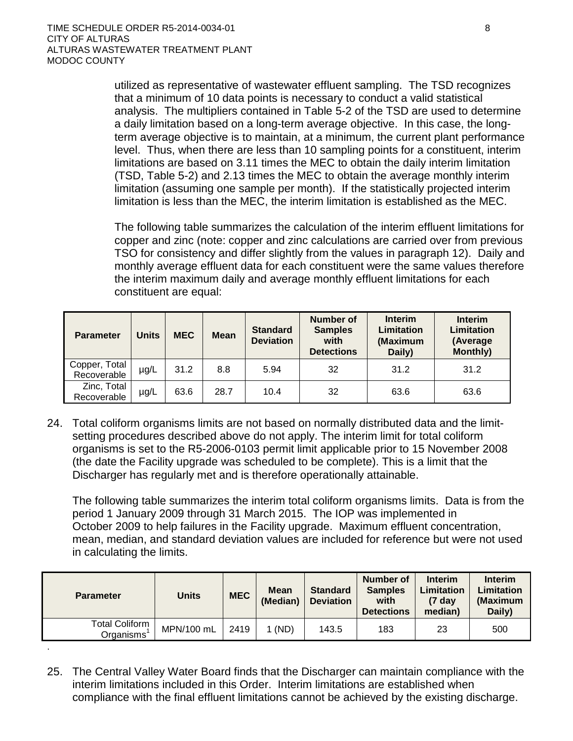.

utilized as representative of wastewater effluent sampling. The TSD recognizes that a minimum of 10 data points is necessary to conduct a valid statistical analysis. The multipliers contained in Table 5-2 of the TSD are used to determine a daily limitation based on a long-term average objective. In this case, the longterm average objective is to maintain, at a minimum, the current plant performance level. Thus, when there are less than 10 sampling points for a constituent, interim limitations are based on 3.11 times the MEC to obtain the daily interim limitation (TSD, Table 5-2) and 2.13 times the MEC to obtain the average monthly interim limitation (assuming one sample per month). If the statistically projected interim limitation is less than the MEC, the interim limitation is established as the MEC.

The following table summarizes the calculation of the interim effluent limitations for copper and zinc (note: copper and zinc calculations are carried over from previous TSO for consistency and differ slightly from the values in paragraph 12). Daily and monthly average effluent data for each constituent were the same values therefore the interim maximum daily and average monthly effluent limitations for each constituent are equal:

| <b>Parameter</b>             | <b>Units</b> | <b>MEC</b> | <b>Mean</b> | <b>Standard</b><br><b>Deviation</b> | Number of<br><b>Samples</b><br>with<br><b>Detections</b> | <b>Interim</b><br>Limitation<br>(Maximum<br>Daily) | <b>Interim</b><br><b>Limitation</b><br>(Average<br><b>Monthly)</b> |
|------------------------------|--------------|------------|-------------|-------------------------------------|----------------------------------------------------------|----------------------------------------------------|--------------------------------------------------------------------|
| Copper, Total<br>Recoverable | µg/L         | 31.2       | 8.8         | 5.94                                | 32                                                       | 31.2                                               | 31.2                                                               |
| Zinc, Total<br>Recoverable   | µg/L         | 63.6       | 28.7        | 10.4                                | 32                                                       | 63.6                                               | 63.6                                                               |

24. Total coliform organisms limits are not based on normally distributed data and the limitsetting procedures described above do not apply. The interim limit for total coliform organisms is set to the R5-2006-0103 permit limit applicable prior to 15 November 2008 (the date the Facility upgrade was scheduled to be complete). This is a limit that the Discharger has regularly met and is therefore operationally attainable.

The following table summarizes the interim total coliform organisms limits. Data is from the period 1 January 2009 through 31 March 2015. The IOP was implemented in October 2009 to help failures in the Facility upgrade. Maximum effluent concentration, mean, median, and standard deviation values are included for reference but were not used in calculating the limits.

| <b>Parameter</b>                   | <b>Units</b> | <b>MEC</b> | <b>Mean</b><br>(Median) | <b>Standard</b><br><b>Deviation</b> | Number of<br><b>Samples</b><br>with<br><b>Detections</b> | Interim<br>Limitation<br>(7 dav<br>median) | <b>Interim</b><br>Limitation<br>(Maximum<br>Daily) |
|------------------------------------|--------------|------------|-------------------------|-------------------------------------|----------------------------------------------------------|--------------------------------------------|----------------------------------------------------|
| <b>Total Coliform</b><br>Organisms | MPN/100 mL   | 2419       | (ND)                    | 143.5                               | 183                                                      | 23                                         | 500                                                |

25. The Central Valley Water Board finds that the Discharger can maintain compliance with the interim limitations included in this Order. Interim limitations are established when compliance with the final effluent limitations cannot be achieved by the existing discharge.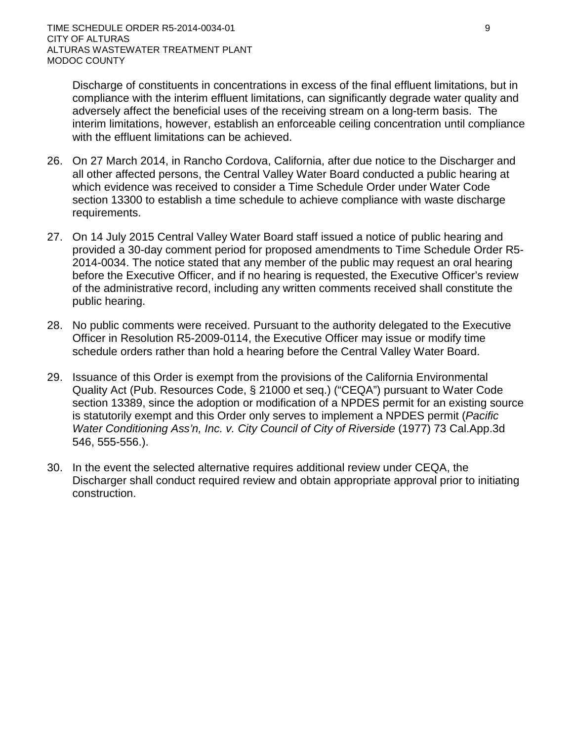Discharge of constituents in concentrations in excess of the final effluent limitations, but in compliance with the interim effluent limitations, can significantly degrade water quality and adversely affect the beneficial uses of the receiving stream on a long-term basis. The interim limitations, however, establish an enforceable ceiling concentration until compliance with the effluent limitations can be achieved.

- 26. On 27 March 2014, in Rancho Cordova, California, after due notice to the Discharger and all other affected persons, the Central Valley Water Board conducted a public hearing at which evidence was received to consider a Time Schedule Order under Water Code section 13300 to establish a time schedule to achieve compliance with waste discharge requirements.
- 27. On 14 July 2015 Central Valley Water Board staff issued a notice of public hearing and provided a 30-day comment period for proposed amendments to Time Schedule Order R5- 2014-0034. The notice stated that any member of the public may request an oral hearing before the Executive Officer, and if no hearing is requested, the Executive Officer's review of the administrative record, including any written comments received shall constitute the public hearing.
- 28. No public comments were received. Pursuant to the authority delegated to the Executive Officer in Resolution R5-2009-0114, the Executive Officer may issue or modify time schedule orders rather than hold a hearing before the Central Valley Water Board.
- 29. Issuance of this Order is exempt from the provisions of the California Environmental Quality Act (Pub. Resources Code, § 21000 et seq.) ("CEQA") pursuant to Water Code section 13389, since the adoption or modification of a NPDES permit for an existing source is statutorily exempt and this Order only serves to implement a NPDES permit (*Pacific Water Conditioning Ass'n, Inc. v. City Council of City of Riverside* (1977) 73 Cal.App.3d 546, 555-556.).
- 30. In the event the selected alternative requires additional review under CEQA, the Discharger shall conduct required review and obtain appropriate approval prior to initiating construction.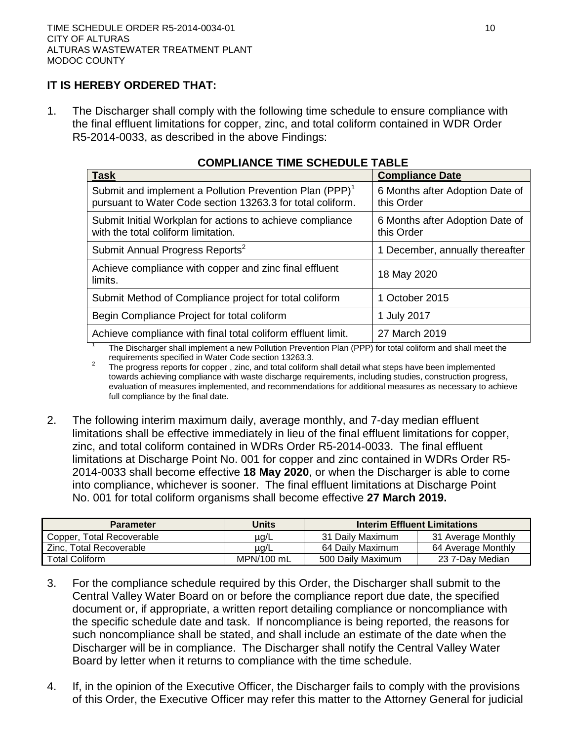# **IT IS HEREBY ORDERED THAT:**

1. The Discharger shall comply with the following time schedule to ensure compliance with the final effluent limitations for copper, zinc, and total coliform contained in WDR Order R5-2014-0033, as described in the above Findings:

| <b>Task</b>                                                                                                                       | <b>Compliance Date</b>                        |
|-----------------------------------------------------------------------------------------------------------------------------------|-----------------------------------------------|
| Submit and implement a Pollution Prevention Plan (PPP) <sup>1</sup><br>pursuant to Water Code section 13263.3 for total coliform. | 6 Months after Adoption Date of<br>this Order |
| Submit Initial Workplan for actions to achieve compliance<br>with the total coliform limitation.                                  | 6 Months after Adoption Date of<br>this Order |
| Submit Annual Progress Reports <sup>2</sup>                                                                                       | 1 December, annually thereafter               |
| Achieve compliance with copper and zinc final effluent<br>limits.                                                                 | 18 May 2020                                   |
| Submit Method of Compliance project for total coliform                                                                            | 1 October 2015                                |
| Begin Compliance Project for total coliform                                                                                       | 1 July 2017                                   |
| Achieve compliance with final total coliform effluent limit.                                                                      | 27 March 2019                                 |

## **COMPLIANCE TIME SCHEDULE TABLE**

<sup>1</sup> The Discharger shall implement a new Pollution Prevention Plan (PPP) for total coliform and shall meet the requirements specified in Water Code section 13263.3.<br>The progress reports for copper , zinc, and total coliform shall detail what steps have been implemented

towards achieving compliance with waste discharge requirements, including studies, construction progress, evaluation of measures implemented, and recommendations for additional measures as necessary to achieve full compliance by the final date.

2. The following interim maximum daily, average monthly, and 7-day median effluent limitations shall be effective immediately in lieu of the final effluent limitations for copper, zinc, and total coliform contained in WDRs Order R5-2014-0033. The final effluent limitations at Discharge Point No. 001 for copper and zinc contained in WDRs Order R5- 2014-0033 shall become effective **18 May 2020**, or when the Discharger is able to come into compliance, whichever is sooner. The final effluent limitations at Discharge Point No. 001 for total coliform organisms shall become effective **27 March 2019.**

| <b>Parameter</b>          | Units      | <b>Interim Effluent Limitations</b> |                    |
|---------------------------|------------|-------------------------------------|--------------------|
| Copper, Total Recoverable | µg/L       | 31 Daily Maximum                    | 31 Average Monthly |
| Zinc. Total Recoverable   | $\mu$ g/L  | 64 Daily Maximum                    | 64 Average Monthly |
| <b>Total Coliform</b>     | MPN/100 mL | 500 Daily Maximum                   | 23 7-Dav Median    |

- 3. For the compliance schedule required by this Order, the Discharger shall submit to the Central Valley Water Board on or before the compliance report due date, the specified document or, if appropriate, a written report detailing compliance or noncompliance with the specific schedule date and task. If noncompliance is being reported, the reasons for such noncompliance shall be stated, and shall include an estimate of the date when the Discharger will be in compliance. The Discharger shall notify the Central Valley Water Board by letter when it returns to compliance with the time schedule.
- 4. If, in the opinion of the Executive Officer, the Discharger fails to comply with the provisions of this Order, the Executive Officer may refer this matter to the Attorney General for judicial